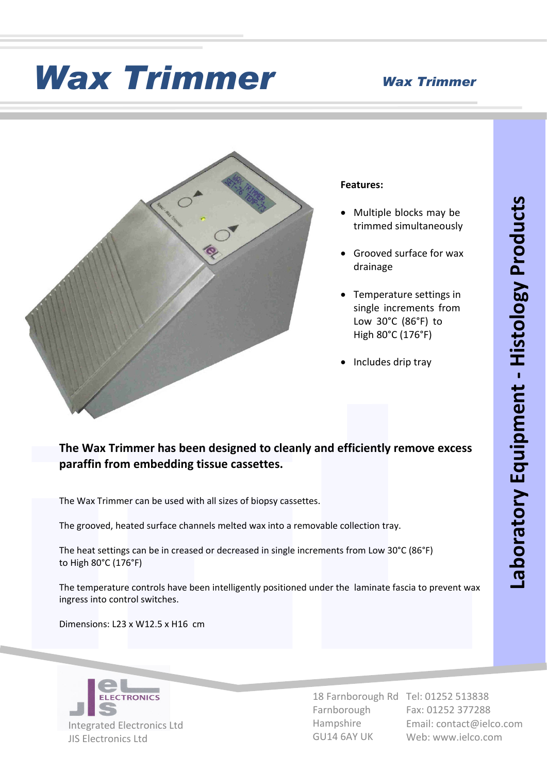## *Wax Trimmer Wax Trimmer*



### **Features:**

- · Multiple blocks may be trimmed simultaneously
- · Grooved surface for wax drainage
- · Temperature settings in single increments from Low 30°C (86°F) to High 80°C (176°F)
- ·Includes drip tray

# The Wax Trimmer has been designed to cleanly and efficiently remove excess<br>paraffin from embedding tissue cassettes.<br>The Wax Trimmer can be used with all sizes of biopsy cassettes.<br>The grooved, heated surface channels melt **The Wax Trimmer has been designed to cleanly and efficiently remove excess paraffin from embedding tissue cassettes.**

The Wax Trimmer can be used with all sizes of biopsy cassettes.

The grooved, heated surface channels melted wax into a removable collection tray.

The heat settings can be in creased or decreased in single increments from Low 30°C (86°F) to High 80°C (176°F)

The temperature controls have been intelligently positioned under the laminate fascia to prevent wax ingress into control switches.

Dimensions: L23 x W12.5 x H16 cm



Farnborough Hampshire GU14 6AY UK

18 Farnborough Rd Tel: 01252 513838 Fax: 01252 377288 Email: contact@ielco.com Web: www.ielco.com